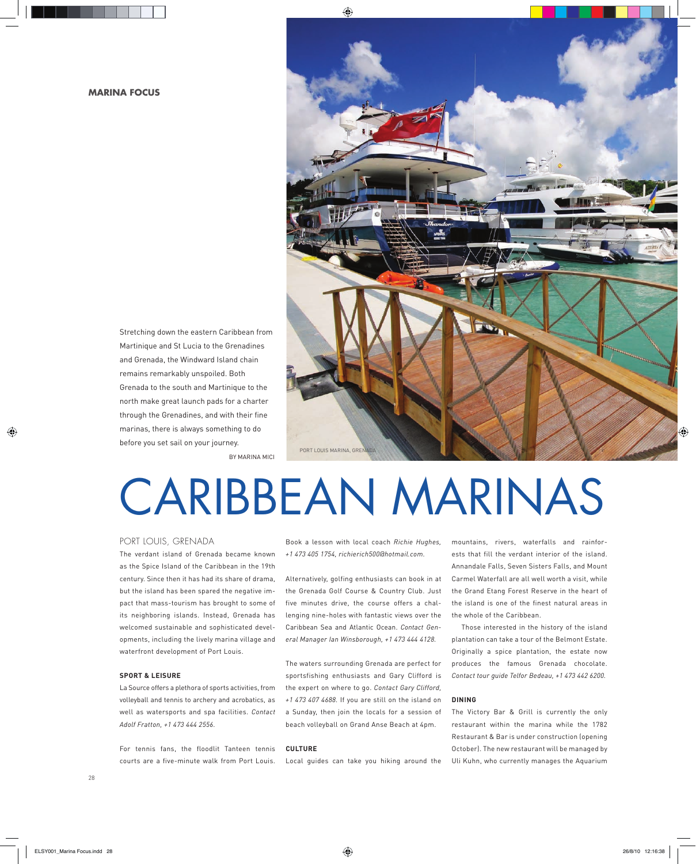Stretching down the eastern Caribbean from Martinique and St Lucia to the Grenadines and Grenada, the Windward Island chain remains remarkably unspoiled. Both Grenada to the south and Martinique to the north make great launch pads for a charter through the Grenadines, and with their fine marinas, there is always something to do before you set sail on your journey.



# BY MARINA MICI

# CARIBBEAN MARINAS

# PORT LOUIS, GRENADA

The verdant island of Grenada became known as the Spice Island of the Caribbean in the 19th century. Since then it has had its share of drama, but the island has been spared the negative impact that mass-tourism has brought to some of its neighboring islands. Instead, Grenada has welcomed sustainable and sophisticated developments, including the lively marina village and waterfront development of Port Louis.

# **SPORT & LEISURE**

La Source offers a plethora of sports activities, from volleyball and tennis to archery and acrobatics, as well as watersports and spa facilities. *Contact Adolf Fratton, +1 473 444 2556.* 

For tennis fans, the floodlit Tanteen tennis courts are a five-minute walk from Port Louis. Book a lesson with local coach *Richie Hughes, +1 473 405 1754, richierich500@hotmail.com.* 

Alternatively, golfing enthusiasts can book in at the Grenada Golf Course & Country Club. Just five minutes drive, the course offers a challenging nine-holes with fantastic views over the Caribbean Sea and Atlantic Ocean. *Contact General Manager Ian Winsborough, +1 473 444 4128.* 

The waters surrounding Grenada are perfect for sportsfishing enthusiasts and Gary Clifford is the expert on where to go. *Contact Gary Clifford, +1 473 407 4688.* If you are still on the island on a Sunday, then join the locals for a session of beach volleyball on Grand Anse Beach at 4pm.

# **CULTURE**

Local guides can take you hiking around the

mountains, rivers, waterfalls and rainforests that fill the verdant interior of the island. Annandale Falls, Seven Sisters Falls, and Mount Carmel Waterfall are all well worth a visit, while the Grand Etang Forest Reserve in the heart of the island is one of the finest natural areas in the whole of the Caribbean.

Those interested in the history of the island plantation can take a tour of the Belmont Estate. Originally a spice plantation, the estate now produces the famous Grenada chocolate. *Contact tour guide Telfor Bedeau, +1 473 442 6200.*

#### **DINING**

The Victory Bar & Grill is currently the only restaurant within the marina while the 1782 Restaurant & Bar is under construction (opening October). The new restaurant will be managed by Uli Kuhn, who currently manages the Aquarium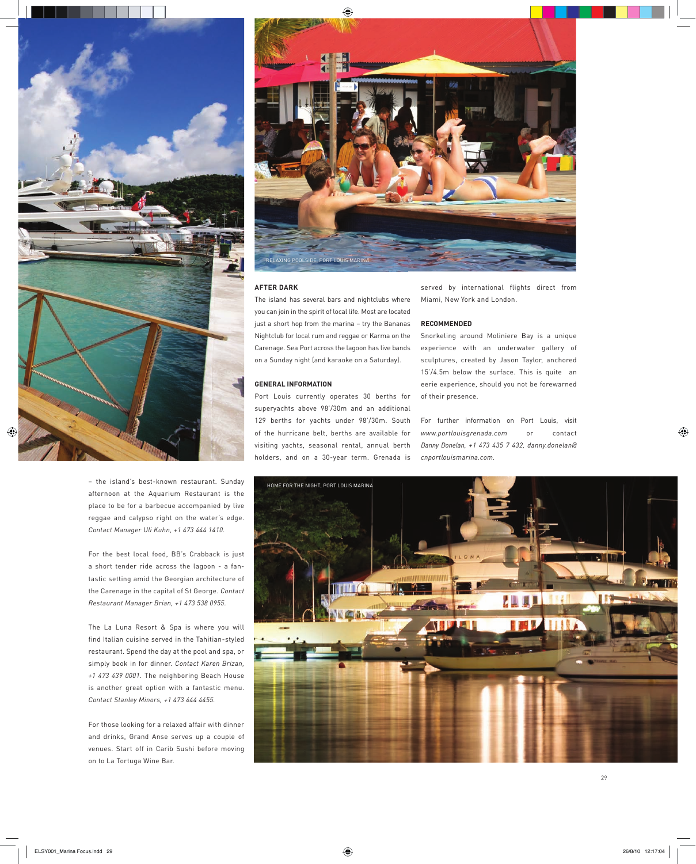

– the island's best-known restaurant. Sunday afternoon at the Aquarium Restaurant is the place to be for a barbecue accompanied by live reggae and calypso right on the water's edge. *Contact Manager Uli Kuhn, +1 473 444 1410.*

For the best local food, BB's Crabback is just a short tender ride across the lagoon - a fantastic setting amid the Georgian architecture of the Carenage in the capital of St George. *Contact Restaurant Manager Brian, +1 473 538 0955.* 

The La Luna Resort & Spa is where you will find Italian cuisine served in the Tahitian-styled restaurant. Spend the day at the pool and spa, or simply book in for dinner. *Contact Karen Brizan, +1 473 439 0001*. The neighboring Beach House is another great option with a fantastic menu. *Contact Stanley Minors, +1 473 444 4455.*

For those looking for a relaxed affair with dinner and drinks, Grand Anse serves up a couple of venues. Start off in Carib Sushi before moving on to La Tortuga Wine Bar.



#### **AFTER DARK**

The island has several bars and nightclubs where you can join in the spirit of local life. Most are located just a short hop from the marina – try the Bananas Nightclub for local rum and reggae or Karma on the Carenage. Sea Port across the lagoon has live bands on a Sunday night (and karaoke on a Saturday).

#### **GENERAL INFORMATION**

Port Louis currently operates 30 berths for superyachts above 98'/30m and an additional 129 berths for yachts under 98'/30m. South of the hurricane belt, berths are available for visiting yachts, seasonal rental, annual berth holders, and on a 30-year term. Grenada is

served by international flights direct from Miami, New York and London.

#### **RECOMMENDED**

Snorkeling around Moliniere Bay is a unique experience with an underwater gallery of sculptures, created by Jason Taylor, anchored 15'/4.5m below the surface. This is quite an eerie experience, should you not be forewarned of their presence.

For further information on Port Louis, visit *www.portlouisgrenada.com* or contact *Danny Donelan, +1 473 435 7 432, danny.donelan@ cnportlouismarina.com.*